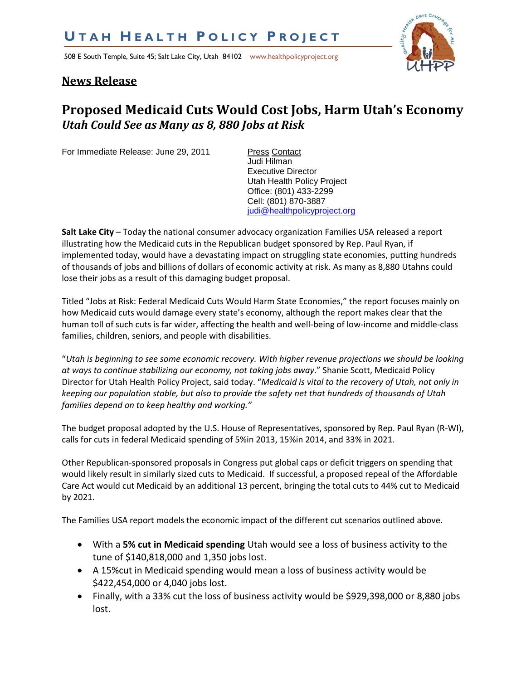508 E South Temple, Suite 45; Salt Lake City, Utah 84102 www.healthpolicyproject.org



## **News Release**

## **Proposed Medicaid Cuts Would Cost Jobs, Harm Utah's Economy** *Utah Could See as Many as 8, 880 Jobs at Risk*

For Immediate Release: June 29, 2011 Press Contact

Judi Hilman Executive Director Utah Health Policy Project Office: (801) 433-2299 Cell: (801) 870-3887 [judi@healthpolicyproject.org](mailto:judi@healthpolicyproject.org)

**Salt Lake City** – Today the national consumer advocacy organization Families USA released a report illustrating how the Medicaid cuts in the Republican budget sponsored by Rep. Paul Ryan, if implemented today, would have a devastating impact on struggling state economies, putting hundreds of thousands of jobs and billions of dollars of economic activity at risk. As many as 8,880 Utahns could lose their jobs as a result of this damaging budget proposal.

Titled "Jobs at Risk: Federal Medicaid Cuts Would Harm State Economies," the report focuses mainly on how Medicaid cuts would damage every state's economy, although the report makes clear that the human toll of such cuts is far wider, affecting the health and well-being of low-income and middle-class families, children, seniors, and people with disabilities.

"*Utah is beginning to see some economic recovery. With higher revenue projections we should be looking at ways to continue stabilizing our economy, not taking jobs away*." Shanie Scott, Medicaid Policy Director for Utah Health Policy Project, said today. "*Medicaid is vital to the recovery of Utah, not only in keeping our population stable, but also to provide the safety net that hundreds of thousands of Utah families depend on to keep healthy and working."* 

The budget proposal adopted by the U.S. House of Representatives, sponsored by Rep. Paul Ryan (R-WI), calls for cuts in federal Medicaid spending of 5%in 2013, 15%in 2014, and 33% in 2021.

Other Republican-sponsored proposals in Congress put global caps or deficit triggers on spending that would likely result in similarly sized cuts to Medicaid. If successful, a proposed repeal of the Affordable Care Act would cut Medicaid by an additional 13 percent, bringing the total cuts to 44% cut to Medicaid by 2021.

The Families USA report models the economic impact of the different cut scenarios outlined above.

- With a **5% cut in Medicaid spending** Utah would see a loss of business activity to the tune of \$140,818,000 and 1,350 jobs lost.
- A 15%cut in Medicaid spending would mean a loss of business activity would be \$422,454,000 or 4,040 jobs lost.
- Finally, *w*ith a 33% cut the loss of business activity would be \$929,398,000 or 8,880 jobs lost.